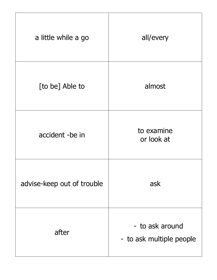| a little while a go        | all/every                                   |
|----------------------------|---------------------------------------------|
| [to be] Able to            | almost                                      |
| accident -be in            | to examine<br>or look at                    |
| advise-keep out of trouble | ask                                         |
| after                      | - to ask around<br>- to ask multiple people |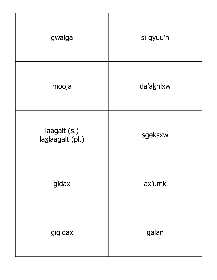| gwalga                           | si gyuu'n |
|----------------------------------|-----------|
| mooja                            | da'akhlxw |
| laagalt (s.)<br>laxlaagalt (pl.) | sgeksxw   |
| gidax                            | ax'umk    |
| gigidax                          | galan     |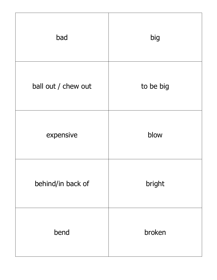| bad                 | big       |
|---------------------|-----------|
| ball out / chew out | to be big |
| expensive           | blow      |
| behind/in back of   | bright    |
| bend                | broken    |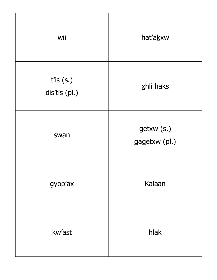| wii                             | hat'akxw                    |
|---------------------------------|-----------------------------|
| $t'$ is $(s.)$<br>dis'tis (pl.) | xhli haks                   |
| swan                            | getxw (s.)<br>gagetxw (pl.) |
| gyop'ax                         | Kalaan                      |
| kw'ast                          | hlak                        |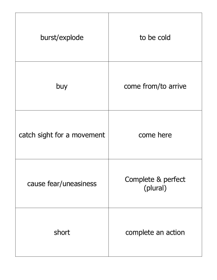| burst/explode              | to be cold                     |
|----------------------------|--------------------------------|
| buy                        | come from/to arrive            |
| catch sight for a movement | come here                      |
| cause fear/uneasiness      | Complete & perfect<br>(plural) |
| short                      | complete an action             |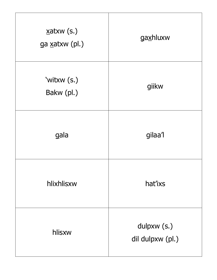| $\underline{x}$ atxw $(s.)$<br>ga xatxw (pl.) | gaxhluxw                        |
|-----------------------------------------------|---------------------------------|
| 'witxw (s.)<br>Bakw (pl.)                     | giikw                           |
| gala                                          | gilaa'l                         |
| hlixhlisxw                                    | hat'ixs                         |
| hlisxw                                        | dulpxw (s.)<br>dil dulpxw (pl.) |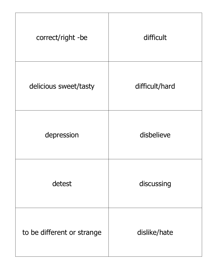| correct/right -be          | difficult      |
|----------------------------|----------------|
| delicious sweet/tasty      | difficult/hard |
| depression                 | disbelieve     |
| detest                     | discussing     |
| to be different or strange | dislike/hate   |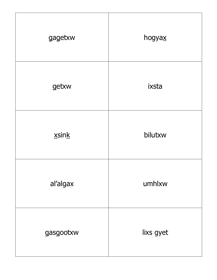| gagetxw   | hogyax    |
|-----------|-----------|
| getxw     | ixsta     |
| xsink     | bilutxw   |
| al'algax  | umhlxw    |
| gasgootxw | lixs gyet |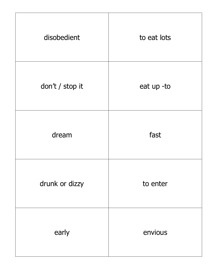| disobedient     | to eat lots |
|-----------------|-------------|
| don't / stop it | eat up -to  |
| dream           | fast        |
| drunk or dizzy  | to enter    |
| early           | envious     |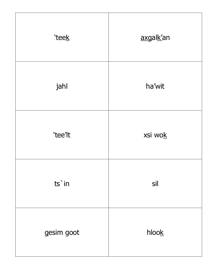| 'teek      | axgalk'an |
|------------|-----------|
| jahl       | ha'wit    |
| 'tee'lt    | xsi wok   |
| ts' in     | sil       |
| gesim goot | hlook     |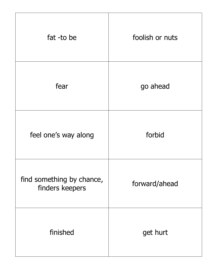| fat -to be                                   | foolish or nuts |
|----------------------------------------------|-----------------|
| fear                                         | go ahead        |
| feel one's way along                         | forbid          |
| find something by chance,<br>finders keepers | forward/ahead   |
| finished                                     | get hurt        |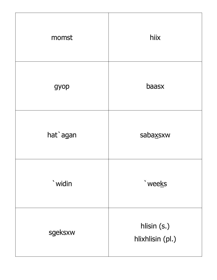| momst    | hiix                            |
|----------|---------------------------------|
| gyop     | baasx                           |
| hat agan | sabaxsxw                        |
| `widin   | `weeks                          |
| sgeksxw  | hlisin (s.)<br>hlixhlisin (pl.) |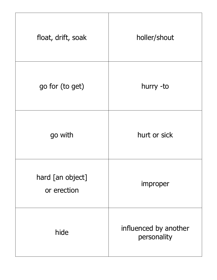| float, drift, soak              | holler/shout                         |
|---------------------------------|--------------------------------------|
| go for (to get)                 | hurry -to                            |
| go with                         | hurt or sick                         |
| hard [an object]<br>or erection | improper                             |
| hide                            | influenced by another<br>personality |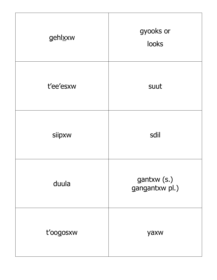| gehlxxw   | gyooks or<br>looks            |
|-----------|-------------------------------|
| t'ee'esxw | suut                          |
| siipxw    | sdil                          |
| duula     | gantxw (s.)<br>gangantxw pl.) |
| t'oogosxw | yaxw                          |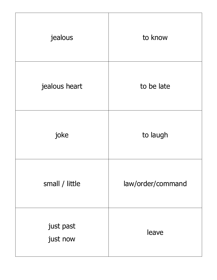| jealous               | to know           |
|-----------------------|-------------------|
| jealous heart         | to be late        |
| joke                  | to laugh          |
| small / little        | law/order/command |
| just past<br>just now | leave             |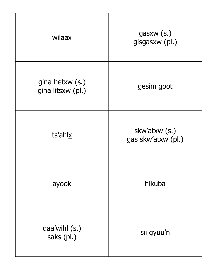| wilaax                               | gasxw(s.)<br>gisgasxw (pl.)         |
|--------------------------------------|-------------------------------------|
| gina hetxw (s.)<br>gina litsxw (pl.) | gesim goot                          |
| ts'ahlx                              | skw'atxw (s.)<br>gas skw'atxw (pl.) |
| ayook                                | hlkuba                              |
| daa'wihl (s.)<br>saks (pl.)          | sii gyuu'n                          |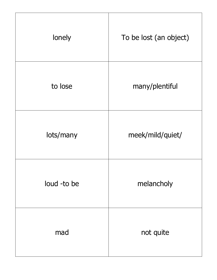| lonely      | To be lost (an object) |
|-------------|------------------------|
| to lose     | many/plentiful         |
| lots/many   | meek/mild/quiet/       |
| loud -to be | melancholy             |
| mad         | not quite              |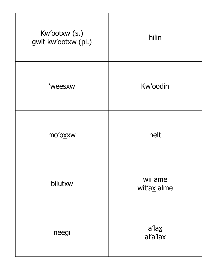| Kw'ootxw (s.)<br>gwit kw'ootxw (pl.) | hilin                               |
|--------------------------------------|-------------------------------------|
| 'weesxw                              | Kw'oodin                            |
| mo'oxxw                              | helt                                |
| bilutxw                              | wii ame<br>wit'ax alme              |
| neegi                                | $a'$ la $\underline{x}$<br>al'a'lax |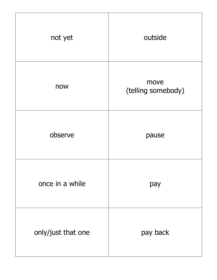| not yet            | outside                    |
|--------------------|----------------------------|
| now                | move<br>(telling somebody) |
| observe            | pause                      |
| once in a while    | pay                        |
| only/just that one | pay back                   |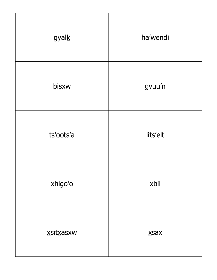| gyalk     | ha'wendi |
|-----------|----------|
| bisxw     | gyuu'n   |
| ts'oots'a | lits'elt |
| xhlgo'o   | $x$ bil  |
| xsitxasxw | $X$ sax  |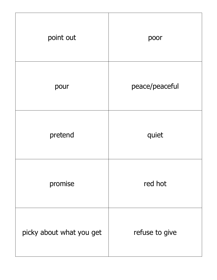| point out                | poor           |
|--------------------------|----------------|
| pour                     | peace/peaceful |
| pretend                  | quiet          |
| promise                  | red hot        |
| picky about what you get | refuse to give |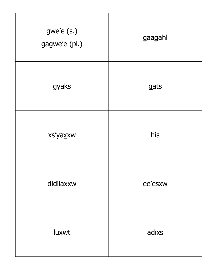| gwe'e (s.)<br>gagwe'e (pl.) | gaagahl |
|-----------------------------|---------|
| gyaks                       | gats    |
| xs'yaxxw                    | his     |
| didilaxxw                   | ee'esxw |
| luxwt                       | adixs   |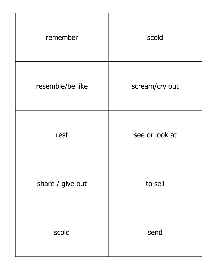| remember         | scold          |
|------------------|----------------|
| resemble/be like | scream/cry out |
| rest             | see or look at |
| share / give out | to sell        |
| scold            | send           |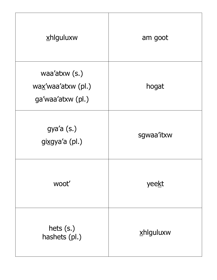| xhlguluxw                                                  | am goot    |
|------------------------------------------------------------|------------|
| waa'atxw $(s.)$<br>wax'waa'atxw (pl.)<br>ga'waa'atxw (pl.) | hogat      |
| gya'a(s.)<br>gixgya'a (pl.)                                | sgwaa'itxw |
| woot'                                                      | yeekt      |
| hets $(s.)$<br>hashets (pl.)                               | xhlguluxw  |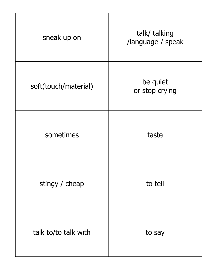| sneak up on          | talk/ talking<br>/language / speak |
|----------------------|------------------------------------|
| soft(touch/material) | be quiet<br>or stop crying         |
| sometimes            | taste                              |
| stingy / cheap       | to tell                            |
| talk to/to talk with | to say                             |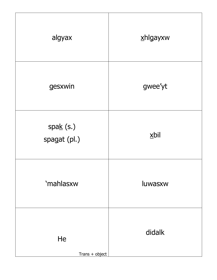| algyax                   | xhlgayxw |
|--------------------------|----------|
| gesxwin                  | gwee'yt  |
| spak(s.)<br>spagat (pl.) | $x$ bil  |
| 'mahlasxw                | luwasxw  |
| He<br>Trans + object     | didalk   |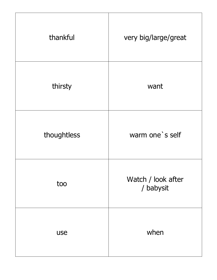| thankful    | very big/large/great            |
|-------------|---------------------------------|
| thirsty     | want                            |
| thoughtless | warm one's self                 |
| too         | Watch / look after<br>/ babysit |
| use         | when                            |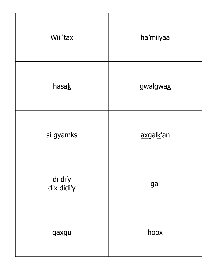| Wii 'tax              | ha'miiyaa |
|-----------------------|-----------|
| hasak                 | gwalgwax  |
| si gyamks             | axgalk'an |
| di di'y<br>dix didi'y | gal       |
| gaxgu                 | hoox      |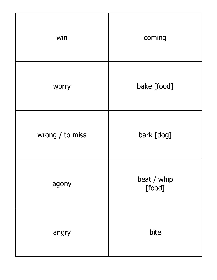| win             | coming                |
|-----------------|-----------------------|
| worry           | bake [food]           |
| wrong / to miss | bark [dog]            |
| agony           | beat / whip<br>[food] |
| angry           | bite                  |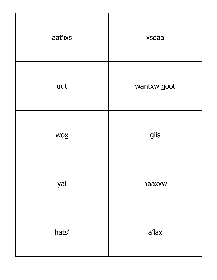| aat'ixs    | xsdaa       |
|------------|-------------|
| uut        | wantxw goot |
| <b>WOX</b> | giis        |
| yal        | haaxxw      |
| hats'      | a'lax       |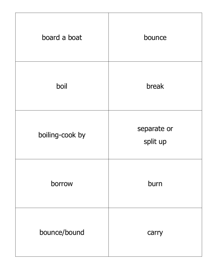| board a boat    | bounce                  |
|-----------------|-------------------------|
| boil            | break                   |
| boiling-cook by | separate or<br>split up |
| borrow          | burn                    |
| bounce/bound    | carry                   |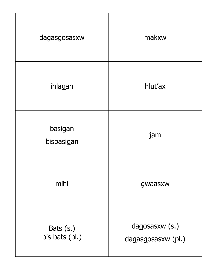| dagasgosasxw                | makxw                                |
|-----------------------------|--------------------------------------|
| ihlagan                     | hlut'ax                              |
| basigan<br>bisbasigan       | jam                                  |
| mihl                        | gwaasxw                              |
| Bats (s.)<br>bis bats (pl.) | dagosasxw (s.)<br>dagasgosasxw (pl.) |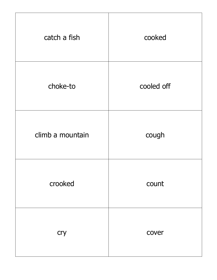| catch a fish     | cooked     |
|------------------|------------|
| choke-to         | cooled off |
| climb a mountain | cough      |
| crooked          | count      |
| cry              | cover      |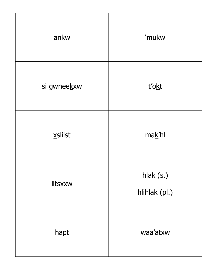| ankw        | 'mukw                      |
|-------------|----------------------------|
| si gwneekxw | t'okt                      |
| xslilst     | mak'hl                     |
| litsxxw     | hlak (s.)<br>hlihlak (pl.) |
| hapt        | waa'atxw                   |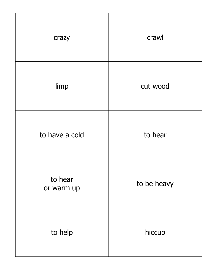| crazy                 | crawl       |
|-----------------------|-------------|
| limp                  | cut wood    |
| to have a cold        | to hear     |
| to hear<br>or warm up | to be heavy |
| to help               | hiccup      |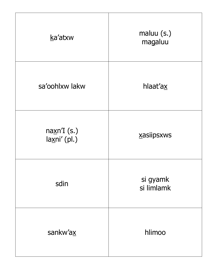| ka'atxw                    | $m$ aluu $(s.)$<br>magaluu |
|----------------------------|----------------------------|
| sa'oohlxw lakw             | hlaat'ax                   |
| naxn'I(s.)<br>laxni' (pl.) | xasiipsxws                 |
| sdin                       | si gyamk<br>si limlamk     |
| sankw'ax                   | hlimoo                     |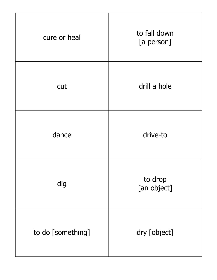| cure or heal      | to fall down<br>[a person] |
|-------------------|----------------------------|
| cut               | drill a hole               |
| dance             | drive-to                   |
| dig               | to drop<br>[an object]     |
| to do [something] | dry [object]               |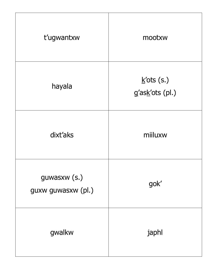| t'ugwantxw                         | mootxw                                       |
|------------------------------------|----------------------------------------------|
| hayala                             | $\underline{k}'$ ots (s.)<br>g'ask'ots (pl.) |
| dixt'aks                           | miiluxw                                      |
| guwasxw (s.)<br>guxw guwasxw (pl.) | gok'                                         |
| gwalkw                             | japhl                                        |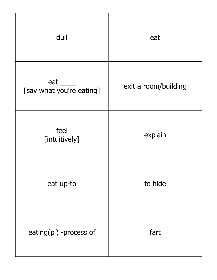| dull                                               | eat                  |
|----------------------------------------------------|----------------------|
| $eat$ <sub>_____</sub><br>[say what you're eating] | exit a room/building |
| feel<br>[intuitively]                              | explain              |
| eat up-to                                          | to hide              |
| eating(pl) -process of                             | fart                 |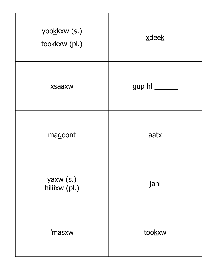| yookkxw (s.)<br>tookkxw (pl.) | xdeek  |
|-------------------------------|--------|
| xsaaxw                        |        |
| magoont                       | aatx   |
| yaxw (s.)<br>hiliixw (pl.)    | jahl   |
| 'masxw                        | tookxw |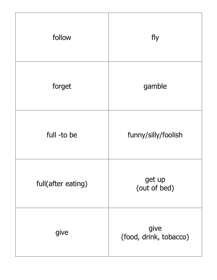| follow             | fly                            |
|--------------------|--------------------------------|
| forget             | gamble                         |
| full -to be        | funny/silly/foolish            |
| full(after eating) | get up<br>(out of bed)         |
| give               | give<br>(food, drink, tobacco) |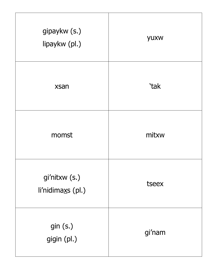| gipaykw (s.)<br>lipaykw (pl.)      | yuxw        |
|------------------------------------|-------------|
| xsan                               | <i>`tak</i> |
| momst                              | mitxw       |
| gi'nitxw (s.)<br>li'nidimaxs (pl.) | tseex       |
| gin(S.)<br>gigin (pl.)             | gi'nam      |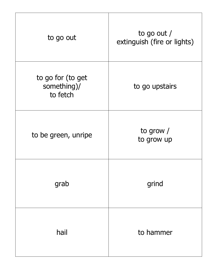| to go out                                    | to go out $/$<br>extinguish (fire or lights) |
|----------------------------------------------|----------------------------------------------|
| to go for (to get<br>something)/<br>to fetch | to go upstairs                               |
| to be green, unripe                          | to grow /<br>to grow up                      |
| grab                                         | grind                                        |
| hail                                         | to hammer                                    |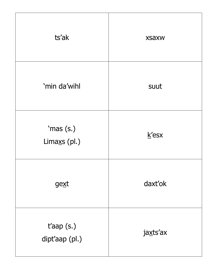| ts'ak                                | <b>XSAXW</b> |
|--------------------------------------|--------------|
| 'min da'wihl                         | suut         |
| 'mas $(s.)$<br>Lima $\times s$ (pl.) | $k'$ esx     |
| gext                                 | daxt'ok      |
| $t'$ aap $(s.)$<br>dipt'aap (pl.)    | jaxts'ax     |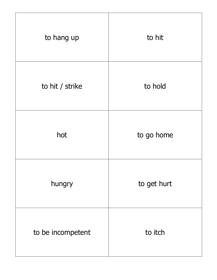| to hang up        | to hit      |
|-------------------|-------------|
| to hit / strike   | to hold     |
| hot               | to go home  |
| hungry            | to get hurt |
| to be incompetent | to itch     |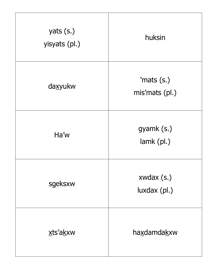| yats $(s.)$<br>yisyats (pl.) | huksin                       |
|------------------------------|------------------------------|
| daxyukw                      | 'mats (s.)<br>mis'mats (pl.) |
| Ha'w                         | gyamk (s.)<br>$lamk$ (pl.)   |
| sgeksxw                      | xwdax (s.)<br>luxdax (pl.)   |
| xts'akxw                     | haxdamdakxw                  |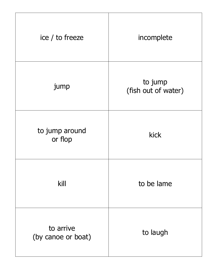| ice / to freeze                 | incomplete                     |
|---------------------------------|--------------------------------|
| jump                            | to jump<br>(fish out of water) |
| to jump around<br>or flop       | kick                           |
| kill                            | to be lame                     |
| to arrive<br>(by canoe or boat) | to laugh                       |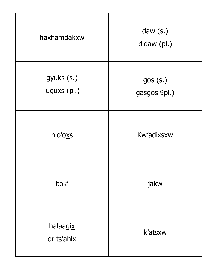| haxhamdakxw                | daw $(s.)$<br>didaw (pl.) |
|----------------------------|---------------------------|
| gyuks (s.)<br>luguxs (pl.) | gos(S.)<br>gasgos 9pl.)   |
| hlo'oxs                    | Kw'adixsxw                |
| bok'                       | jakw                      |
| halaagix<br>or ts'ahlx     | k'atsxw                   |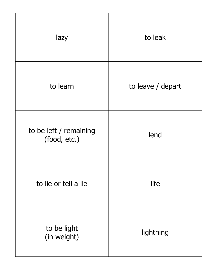| lazy                                   | to leak           |
|----------------------------------------|-------------------|
| to learn                               | to leave / depart |
| to be left / remaining<br>(food, etc.) | lend              |
| to lie or tell a lie                   | life              |
| to be light<br>(in weight)             | lightning         |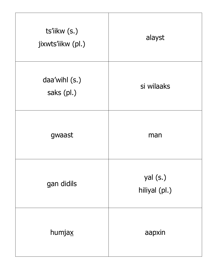| ts'iikw (s.)<br>jixwts'iikw (pl.) | alayst                    |
|-----------------------------------|---------------------------|
| daa'wihl (s.)<br>saks (pl.)       | si wilaaks                |
| gwaast                            | man                       |
| gan didils                        | yal (s.)<br>hiliyal (pl.) |
| humjax                            | aapxin                    |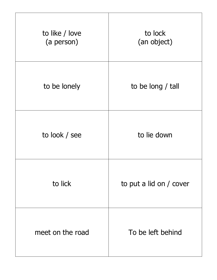| to like / love<br>(a person) | to lock<br>(an object)  |
|------------------------------|-------------------------|
| to be lonely                 | to be long / tall       |
| to look / see                | to lie down             |
| to lick                      | to put a lid on / cover |
| meet on the road             | To be left behind       |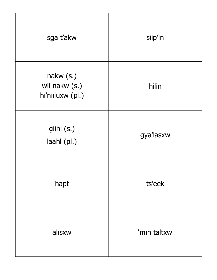| sga t'akw                                      | siip'in     |
|------------------------------------------------|-------------|
| nakw (s.)<br>wii nakw (s.)<br>hi'niiluxw (pl.) | hilin       |
| giihl (s.)<br>laahl (pl.)                      | gya'lasxw   |
| hapt                                           | ts'eek      |
| alisxw                                         | 'min taltxw |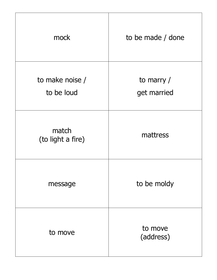| mock                          | to be made / done           |
|-------------------------------|-----------------------------|
| to make noise /<br>to be loud | to marry $/$<br>get married |
| match<br>(to light a fire)    | mattress                    |
| message                       | to be moldy                 |
| to move                       | to move<br>(address)        |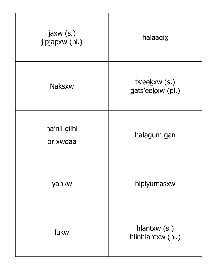| jaxw(s.)<br>jipjapxw (pl.) | halaagix                            |
|----------------------------|-------------------------------------|
| <b>Naksxw</b>              | ts'eekxw(s.)<br>gats'eekxw (pl.)    |
| ha'nii giihl<br>or xwdaa   | halagum gan                         |
| yankw                      | hlpiyumasxw                         |
| lukw                       | hlantxw $(s.)$<br>hlinhlantxw (pl.) |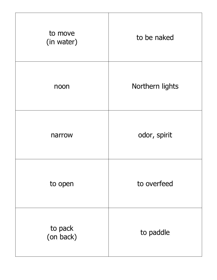| to move<br>(in water) | to be naked     |
|-----------------------|-----------------|
| noon                  | Northern lights |
| narrow                | odor, spirit    |
| to open               | to overfeed     |
| to pack<br>(on back)  | to paddle       |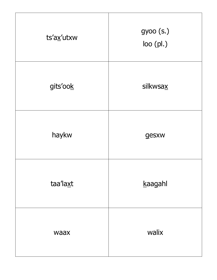| ts'ax'utxw | gyoo (s.)<br>$loo$ (pl.) |
|------------|--------------------------|
| gits'ook   | silkwsax                 |
| haykw      | gesxw                    |
| taa'laxt   | kaagahl                  |
| waax       | walix                    |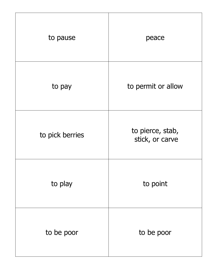| to pause        | peace                               |
|-----------------|-------------------------------------|
| to pay          | to permit or allow                  |
| to pick berries | to pierce, stab,<br>stick, or carve |
| to play         | to point                            |
| to be poor      | to be poor                          |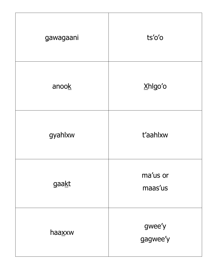| gawagaani | ts'o'o              |
|-----------|---------------------|
| anook     | Xhlgo'o             |
| gyahlxw   | t'aahlxw            |
| gaakt     | ma'us or<br>maas'us |
| haaxxw    | gwee'y<br>gagwee'y  |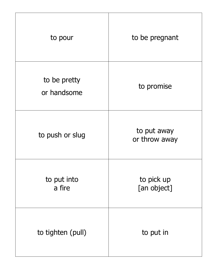| to pour                     | to be pregnant               |
|-----------------------------|------------------------------|
| to be pretty<br>or handsome | to promise                   |
| to push or slug             | to put away<br>or throw away |
| to put into<br>a fire       | to pick up<br>[an object]    |
| to tighten (pull)           | to put in                    |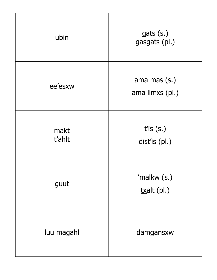| ubin           | gats(s.)<br>gasgats (pl.)         |
|----------------|-----------------------------------|
| ee'esxw        | ama mas $(s.)$<br>ama limxs (pl.) |
| makt<br>t'ahlt | $t'$ is $(s.)$<br>dist'is (pl.)   |
| guut           | 'malkw (s.)<br>$txalt$ (pl.)      |
| luu magahl     | damgansxw                         |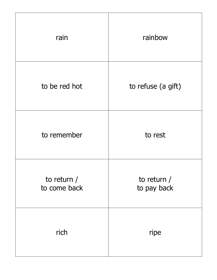| rain                        | rainbow                    |
|-----------------------------|----------------------------|
| to be red hot               | to refuse (a gift)         |
| to remember                 | to rest                    |
| to return /<br>to come back | to return /<br>to pay back |
| rich                        | ripe                       |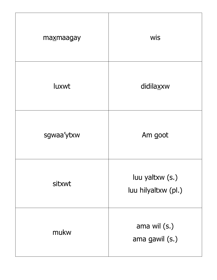| maxmaagay  | wis                                    |
|------------|----------------------------------------|
| luxwt      | didilaxxw                              |
| sgwaa'ytxw | Am goot                                |
| sitxwt     | luu yaltxw (s.)<br>luu hilyaltxw (pl.) |
| mukw       | ama wil $(s.)$<br>ama gawil (s.)       |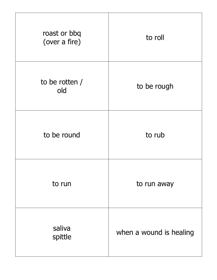| roast or bbq<br>(over a fire) | to roll                 |
|-------------------------------|-------------------------|
| to be rotten /<br>old         | to be rough             |
| to be round                   | to rub                  |
| to run                        | to run away             |
| saliva<br>spittle             | when a wound is healing |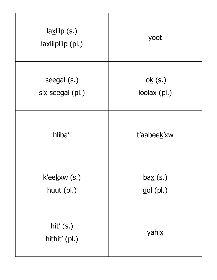| laxlib(s.)<br>$lax$ lilplilp (pl.) | yoot                                           |
|------------------------------------|------------------------------------------------|
| seegal $(s.)$<br>six seegal (pl.)  | $\log(s.)$<br>$\text{loola}\times\text{(pl.)}$ |
| hliba'l                            | t'aabeek'xw                                    |
| k'eekxw (s.)<br>huut (pl.)         | bax(s.)<br>$gol$ (pl.)                         |
| hit' $(s.)$<br>hithit' (pl.)       | yahlx                                          |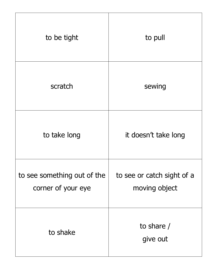| to be tight                                       | to pull                                     |
|---------------------------------------------------|---------------------------------------------|
| scratch                                           | sewing                                      |
| to take long                                      | it doesn't take long                        |
| to see something out of the<br>corner of your eye | to see or catch sight of a<br>moving object |
| to shake                                          | to share $/$<br>give out                    |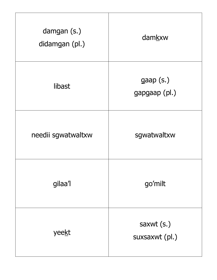| damgan $(s.)$<br>didamgan (pl.) | damkxw                                                 |
|---------------------------------|--------------------------------------------------------|
| libast                          | $\mathsf{gap}\left(\mathsf{s}\right)$<br>gapgaap (pl.) |
| needii sgwatwaltxw              | sgwatwaltxw                                            |
| gilaa'l                         | go'milt                                                |
| yeekt                           | saxwt $(s.)$<br>suxsaxwt (pl.)                         |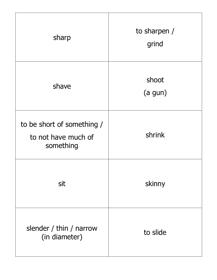| sharp                                                          | to sharpen /<br>grind |
|----------------------------------------------------------------|-----------------------|
| shave                                                          | shoot<br>(a gun)      |
| to be short of something /<br>to not have much of<br>something | shrink                |
| sit                                                            | skinny                |
| slender / thin / narrow<br>(in diameter)                       | to slide              |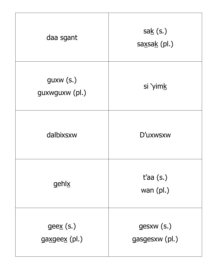| daa sgant                                                                  | sak(s.)<br>saxsak (pl.)       |
|----------------------------------------------------------------------------|-------------------------------|
| $g$ uxw $(s.)$<br>guxwguxw (pl.)                                           | si 'yimk                      |
| dalbixsxw                                                                  | D'uxwsxw                      |
| gehlx                                                                      | $t'$ aa $(s.)$<br>wan $(pl.)$ |
| $\underline{\mathsf{g}}$ ee $\underline{\mathsf{x}}$ (s.)<br>gaxgeex (pl.) | gesxw(s.)<br>gasgesxw (pl.)   |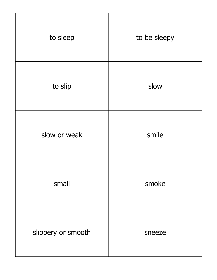| to sleep           | to be sleepy |
|--------------------|--------------|
| to slip            | slow         |
| slow or weak       | smile        |
| small              | smoke        |
| slippery or smooth | sneeze       |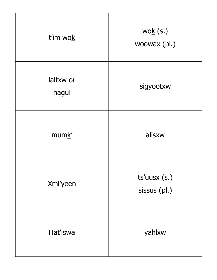| t'im wok           | wok(s.)<br>woowa $\underline{x}$ (pl.) |
|--------------------|----------------------------------------|
| laltxw or<br>hagul | sigyootxw                              |
| mumk'              | alisxw                                 |
| Xmi'yeen           | ts'uusx (s.)<br>sissus (pl.)           |
| Hat'iswa           | yahlxw                                 |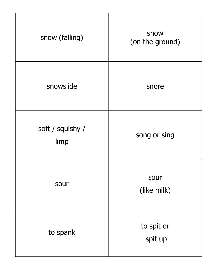| snow (falling)           | snow<br>(on the ground) |
|--------------------------|-------------------------|
| snowslide                | snore                   |
| soft / squishy /<br>limp | song or sing            |
| sour                     | sour<br>(like milk)     |
| to spank                 | to spit or<br>spit up   |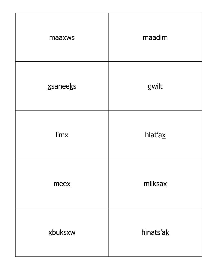| maaxws   | maadim    |
|----------|-----------|
| xsaneeks | gwilt     |
| limx     | hlat'ax   |
| meex     | milksax   |
| xbuksxw  | hinats'ak |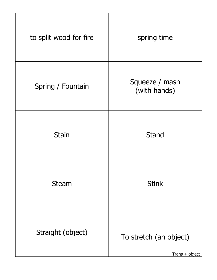| to split wood for fire | spring time                              |
|------------------------|------------------------------------------|
| Spring / Fountain      | Squeeze / mash<br>(with hands)           |
| <b>Stain</b>           | <b>Stand</b>                             |
| <b>Steam</b>           | <b>Stink</b>                             |
| Straight (object)      | To stretch (an object)<br>Trans + object |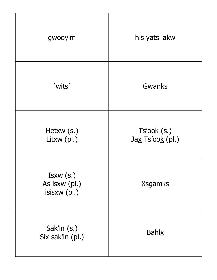| gwooyim                                   | his yats lakw                  |
|-------------------------------------------|--------------------------------|
| 'wits'                                    | Gwanks                         |
| Hetxw (s.)<br>Litxw (pl.)                 | Ts'ook(s.)<br>Jax Ts'ook (pl.) |
| Isxw(s.)<br>As isxw (pl.)<br>isisxw (pl.) | <b>X</b> sgamks                |
| Sak'in (s.)<br>Six sak'in (pl.)           | <b>Bahlx</b>                   |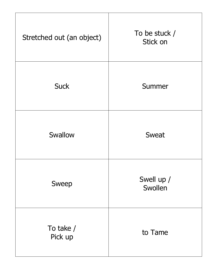| Stretched out (an object) | To be stuck /<br>Stick on |
|---------------------------|---------------------------|
| <b>Suck</b>               | Summer                    |
| Swallow                   | Sweat                     |
| Sweep                     | Swell up /<br>Swollen     |
| To take $/$<br>Pick up    | to Tame                   |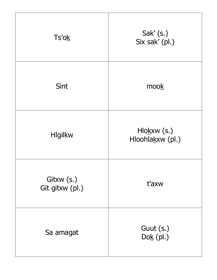| Ts'ok                         | Sak $^{\prime}$ (s.)<br>Six sak' (pl.) |
|-------------------------------|----------------------------------------|
| Sint                          | mook                                   |
| <b>Hlgilkw</b>                | Hlokxw (s.)<br>Hloohlakxw (pl.)        |
| Gitxw (s.)<br>Git gitxw (pl.) | t'axw                                  |
| Sa amagat                     | Guut (s.)<br>$Dok$ (pl.)               |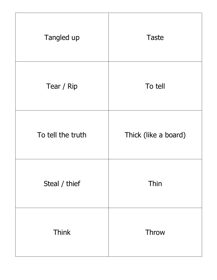| Tangled up        | <b>Taste</b>         |
|-------------------|----------------------|
| Tear / Rip        | To tell              |
| To tell the truth | Thick (like a board) |
| Steal / thief     | Thin                 |
| <b>Think</b>      | <b>Throw</b>         |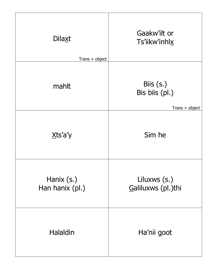| <b>Dilaxt</b><br>Trans + object | Gaakw'ilt or<br>Ts'iikw'inhlx                     |
|---------------------------------|---------------------------------------------------|
| mahlt                           | Biis $(s.)$<br>Bis biis (pl.)<br>$Trans + object$ |
| Xts'a'y                         | Sim he                                            |
| Hanix (s.)<br>Han hanix (pl.)   | Liluxws (s.)<br>Galiluxws (pl.)thi                |
| <b>Halaldin</b>                 | Ha'nii goot                                       |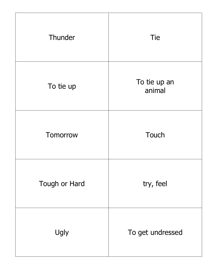| Thunder         | <b>Tie</b>             |
|-----------------|------------------------|
| To tie up       | To tie up an<br>animal |
| <b>Tomorrow</b> | <b>Touch</b>           |
| Tough or Hard   | try, feel              |
| Ugly            | To get undressed       |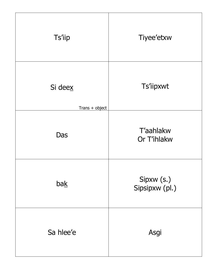| <b>Ts'iip</b>             | Tiyee'etxw                   |
|---------------------------|------------------------------|
| Si deex<br>Trans + object | <b>Ts'iipxwt</b>             |
| Das                       | T'aahlakw<br>Or T'ihlakw     |
| bak                       | Sipxw (s.)<br>Sipsipxw (pl.) |
| Sa hlee'e                 | Asgi                         |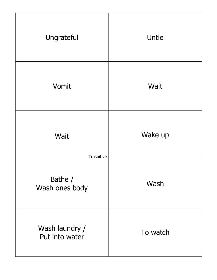| Ungrateful                       | Untie    |
|----------------------------------|----------|
| Vomit                            | Wait     |
| Wait<br>Trasnitive               | Wake up  |
| Bathe /<br>Wash ones body        | Wash     |
| Wash laundry /<br>Put into water | To watch |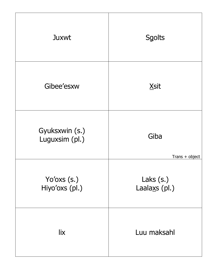| Juxwt                            | Sgolts                     |
|----------------------------------|----------------------------|
| Gibee'esxw                       | Xsit                       |
| Gyuksxwin (s.)<br>Luguxsim (pl.) | Giba<br>$Trans + object$   |
| Yo'oxs (s.)<br>Hiyo'oxs (pl.)    | Laks (s.)<br>Laalaxs (pl.) |
| lix                              | Luu maksahl                |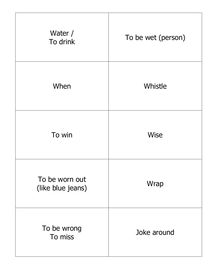| Water /<br>To drink                 | To be wet (person) |
|-------------------------------------|--------------------|
| When                                | Whistle            |
| To win                              | <b>Wise</b>        |
| To be worn out<br>(like blue jeans) | Wrap               |
| To be wrong<br>To miss              | Joke around        |